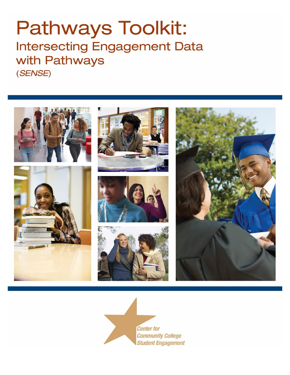# **Pathways Toolkit: Intersecting Engagement Data** with Pathways (SENSE)



**Center for Community College Student Engagement**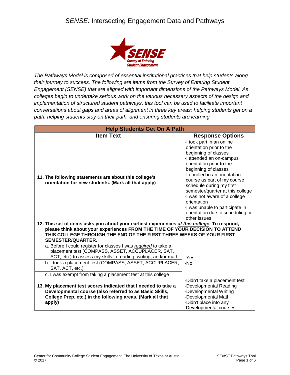

*The Pathways Model is composed of essential institutional practices that help students along their journey to success. The following are items from the Survey of Entering Student Engagement (SENSE) that are aligned with important dimensions of the Pathways Model. As colleges begin to undertake serious work on the various necessary aspects of the design and implementation of structured student pathways, this tool can be used to facilitate important conversations about gaps and areas of alignment in three key areas: helping students get on a path, helping students stay on their path, and ensuring students are learning.*

| <b>Help Students Get On A Path</b>                                                                                                                                                                                                                                                                                                   |                                                                                                                                                                                                                                                                                                                                                                                                                                      |  |
|--------------------------------------------------------------------------------------------------------------------------------------------------------------------------------------------------------------------------------------------------------------------------------------------------------------------------------------|--------------------------------------------------------------------------------------------------------------------------------------------------------------------------------------------------------------------------------------------------------------------------------------------------------------------------------------------------------------------------------------------------------------------------------------|--|
| <b>Item Text</b>                                                                                                                                                                                                                                                                                                                     | <b>Response Options</b>                                                                                                                                                                                                                                                                                                                                                                                                              |  |
| 11. The following statements are about this college's<br>orientation for new students. (Mark all that apply)                                                                                                                                                                                                                         | -I took part in an online<br>orientation prior to the<br>beginning of classes<br>-I attended an on-campus<br>orientation prior to the<br>beginning of classes<br>-I enrolled in an orientation<br>course as part of my course<br>schedule during my first<br>semester/quarter at this college<br>-I was not aware of a college<br>orientation<br>-I was unable to participate in<br>orientation due to scheduling or<br>other issues |  |
| 12. This set of items asks you about your earliest experiences at this college. To respond,                                                                                                                                                                                                                                          |                                                                                                                                                                                                                                                                                                                                                                                                                                      |  |
| please think about your experiences FROM THE TIME OF YOUR DECISION TO ATTEND<br>THIS COLLEGE THROUGH THE END OF THE FIRST THREE WEEKS OF YOUR FIRST<br><b>SEMESTER/QUARTER.</b>                                                                                                                                                      |                                                                                                                                                                                                                                                                                                                                                                                                                                      |  |
| a. Before I could register for classes I was required to take a<br>placement test (COMPASS, ASSET, ACCUPLACER, SAT,<br>ACT, etc.) to assess my skills in reading, writing, and/or math<br>b. I took a placement test (COMPASS, ASSET, ACCUPLACER,<br>SAT, ACT, etc.)<br>c. I was exempt from taking a placement test at this college | -Yes<br>-No                                                                                                                                                                                                                                                                                                                                                                                                                          |  |
|                                                                                                                                                                                                                                                                                                                                      | -Didn't take a placement test                                                                                                                                                                                                                                                                                                                                                                                                        |  |
| 13. My placement test scores indicated that I needed to take a<br>Developmental course (also referred to as Basic Skills,<br>College Prep, etc.) in the following areas. (Mark all that<br>apply)                                                                                                                                    | -Developmental Reading<br>-Developmental Writing<br>-Developmental Math<br>-Didn't place into any<br>Developmental courses                                                                                                                                                                                                                                                                                                           |  |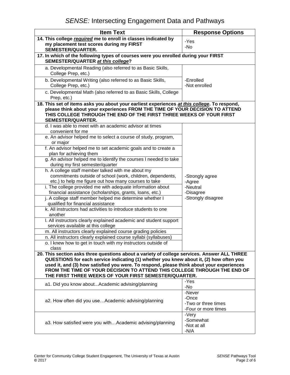| <b>Item Text</b>                                                                                                                                                            | <b>Response Options</b>                     |
|-----------------------------------------------------------------------------------------------------------------------------------------------------------------------------|---------------------------------------------|
| 14. This college required me to enroll in classes indicated by                                                                                                              | -Yes                                        |
| my placement test scores during my FIRST                                                                                                                                    | -No                                         |
| SEMESTER/QUARTER.                                                                                                                                                           |                                             |
| 17. In which of the following types of courses were you enrolled during your FIRST<br>SEMESTER/QUARTER at this college?                                                     |                                             |
| a. Developmental Reading (also referred to as Basic Skills,<br>College Prep, etc.)                                                                                          | -Enrolled<br>-Not enrolled                  |
| b. Developmental Writing (also referred to as Basic Skills,<br>College Prep, etc.)                                                                                          |                                             |
| c. Developmental Math (also referred to as Basic Skills, College<br>Prep, etc.)                                                                                             |                                             |
| 18. This set of items asks you about your earliest experiences at this college. To respond,<br>please think about your experiences FROM THE TIME OF YOUR DECISION TO ATTEND |                                             |
| THIS COLLEGE THROUGH THE END OF THE FIRST THREE WEEKS OF YOUR FIRST<br>SEMESTER/QUARTER.                                                                                    |                                             |
| d. I was able to meet with an academic advisor at times<br>convenient for me                                                                                                |                                             |
| e. An advisor helped me to select a course of study, program,<br>or major                                                                                                   |                                             |
| f. An advisor helped me to set academic goals and to create a<br>plan for achieving them                                                                                    |                                             |
| g. An advisor helped me to identify the courses I needed to take<br>during my first semester/quarter                                                                        |                                             |
| h. A college staff member talked with me about my                                                                                                                           |                                             |
| commitments outside of school (work, children, dependents,<br>etc.) to help me figure out how many courses to take                                                          | -Strongly agree<br>-Agree                   |
| i. The college provided me with adequate information about<br>financial assistance (scholarships, grants, loans, etc.)                                                      | -Neutral<br>-Disagree<br>-Strongly disagree |
| j. A college staff member helped me determine whether I<br>qualified for financial assistance                                                                               |                                             |
| k. All instructors had activities to introduce students to one<br>another                                                                                                   |                                             |
| I. All instructors clearly explained academic and student support<br>services available at this college                                                                     |                                             |
| m. All instructors clearly explained course grading policies                                                                                                                |                                             |
| n. All instructors clearly explained course syllabi (syllabuses)                                                                                                            |                                             |
| o. I knew how to get in touch with my instructors outside of<br>class                                                                                                       |                                             |
| 20. This section asks three questions about a variety of college services. Answer ALL THREE                                                                                 |                                             |
| QUESTIONS for each service indicating (1) whether you knew about it, (2) how often you                                                                                      |                                             |
| used it, and (3) how satisfied you were. To respond, please think about your experiences                                                                                    |                                             |
| FROM THE TIME OF YOUR DECISION TO ATTEND THIS COLLEGE THROUGH THE END OF<br>THE FIRST THREE WEEKS OF YOUR FIRST SEMESTER/QUARTER.                                           |                                             |
| a1. Did you know aboutAcademic advising/planning                                                                                                                            | -Yes<br>-No                                 |
|                                                                                                                                                                             | -Never                                      |
| a2. How often did you useAcademic advising/planning                                                                                                                         | -Once                                       |
|                                                                                                                                                                             | -Two or three times<br>-Four or more times  |
| a3. How satisfied were you withAcademic advising/planning                                                                                                                   | -Very<br>-Somewhat                          |
|                                                                                                                                                                             | -Not at all<br>$-N/A$                       |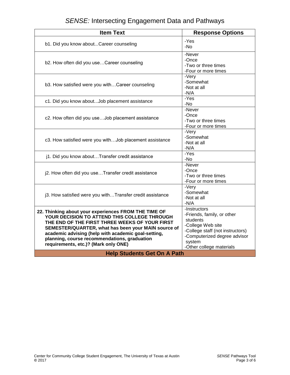| <b>Item Text</b>                                                                                                                                                                                                                                                                                                                                             | <b>Response Options</b>                                                                                                                                                               |  |
|--------------------------------------------------------------------------------------------------------------------------------------------------------------------------------------------------------------------------------------------------------------------------------------------------------------------------------------------------------------|---------------------------------------------------------------------------------------------------------------------------------------------------------------------------------------|--|
| b1. Did you know aboutCareer counseling                                                                                                                                                                                                                                                                                                                      | -Yes<br>-No                                                                                                                                                                           |  |
| b2. How often did you useCareer counseling                                                                                                                                                                                                                                                                                                                   | -Never<br>-Once<br>-Two or three times<br>-Four or more times                                                                                                                         |  |
| b3. How satisfied were you withCareer counseling                                                                                                                                                                                                                                                                                                             | -Very<br>-Somewhat<br>-Not at all<br>-N/A                                                                                                                                             |  |
| c1. Did you know about Job placement assistance                                                                                                                                                                                                                                                                                                              | -Yes<br>-No                                                                                                                                                                           |  |
| c2. How often did you useJob placement assistance                                                                                                                                                                                                                                                                                                            | -Never<br>-Once<br>-Two or three times<br>-Four or more times                                                                                                                         |  |
| c3. How satisfied were you withJob placement assistance                                                                                                                                                                                                                                                                                                      | -Very<br>-Somewhat<br>-Not at all<br>$-N/A$                                                                                                                                           |  |
| j1. Did you know aboutTransfer credit assistance                                                                                                                                                                                                                                                                                                             | $-Yes$<br>-No                                                                                                                                                                         |  |
| j2. How often did you useTransfer credit assistance                                                                                                                                                                                                                                                                                                          | -Never<br>-Once<br>-Two or three times<br>-Four or more times                                                                                                                         |  |
| j3. How satisfied were you withTransfer credit assistance                                                                                                                                                                                                                                                                                                    | -Very<br>-Somewhat<br>-Not at all<br>$-N/A$                                                                                                                                           |  |
| 22. Thinking about your experiences FROM THE TIME OF<br>YOUR DECISION TO ATTEND THIS COLLEGE THROUGH<br>THE END OF THE FIRST THREE WEEKS OF YOUR FIRST<br>SEMESTER/QUARTER, what has been your MAIN source of<br>academic advising (help with academic goal-setting,<br>planning, course recommendations, graduation<br>requirements, etc.)? (Mark only ONE) | -Instructors<br>-Friends, family, or other<br>students<br>-College Web site<br>-College staff (not instructors)<br>-Computerized degree advisor<br>system<br>-Other college materials |  |
| <b>Help Students Get On A Path</b>                                                                                                                                                                                                                                                                                                                           |                                                                                                                                                                                       |  |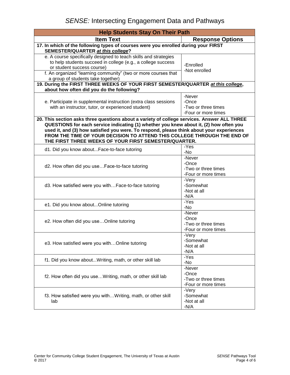| <b>Help Students Stay On Their Path</b>                                                                                                                                                                                                                                                                                                                                                                                |                                                               |  |
|------------------------------------------------------------------------------------------------------------------------------------------------------------------------------------------------------------------------------------------------------------------------------------------------------------------------------------------------------------------------------------------------------------------------|---------------------------------------------------------------|--|
| <b>Item Text</b>                                                                                                                                                                                                                                                                                                                                                                                                       | <b>Response Options</b>                                       |  |
| 17. In which of the following types of courses were you enrolled during your FIRST<br>SEMESTER/QUARTER at this college?                                                                                                                                                                                                                                                                                                |                                                               |  |
| e. A course specifically designed to teach skills and strategies<br>to help students succeed in college (e.g., a college success<br>or student success course)<br>f. An organized "learning community" (two or more courses that<br>a group of students take together)                                                                                                                                                 | -Enrolled<br>-Not enrolled                                    |  |
| 19. During the FIRST THREE WEEKS OF YOUR FIRST SEMESTER/QUARTER at this college,                                                                                                                                                                                                                                                                                                                                       |                                                               |  |
| about how often did you do the following?                                                                                                                                                                                                                                                                                                                                                                              |                                                               |  |
| e. Participate in supplemental instruction (extra class sessions<br>with an instructor, tutor, or experienced student)                                                                                                                                                                                                                                                                                                 | -Never<br>-Once<br>-Two or three times<br>-Four or more times |  |
| 20. This section asks three questions about a variety of college services. Answer ALL THREE<br>QUESTIONS for each service indicating (1) whether you knew about it, (2) how often you<br>used it, and (3) how satisfied you were. To respond, please think about your experiences<br>FROM THE TIME OF YOUR DECISION TO ATTEND THIS COLLEGE THROUGH THE END OF<br>THE FIRST THREE WEEKS OF YOUR FIRST SEMESTER/QUARTER. |                                                               |  |
| d1. Did you know aboutFace-to-face tutoring                                                                                                                                                                                                                                                                                                                                                                            | -Yes<br>-No                                                   |  |
| d2. How often did you useFace-to-face tutoring                                                                                                                                                                                                                                                                                                                                                                         | -Never<br>-Once<br>-Two or three times<br>-Four or more times |  |
| d3. How satisfied were you withFace-to-face tutoring                                                                                                                                                                                                                                                                                                                                                                   | -Very<br>-Somewhat<br>-Not at all<br>$-N/A$                   |  |
| e1. Did you know aboutOnline tutoring                                                                                                                                                                                                                                                                                                                                                                                  | -Yes<br>-No                                                   |  |
| e2. How often did you use Online tutoring                                                                                                                                                                                                                                                                                                                                                                              | -Never<br>-Once<br>-Two or three times<br>-Four or more times |  |
| e3. How satisfied were you withOnline tutoring                                                                                                                                                                                                                                                                                                                                                                         | -Very<br>-Somewhat<br>-Not at all<br>$-N/A$                   |  |
| f1. Did you know aboutWriting, math, or other skill lab                                                                                                                                                                                                                                                                                                                                                                | -Yes<br>-No                                                   |  |
| f2. How often did you useWriting, math, or other skill lab                                                                                                                                                                                                                                                                                                                                                             | -Never<br>-Once<br>-Two or three times<br>-Four or more times |  |
| f3. How satisfied were you withWriting, math, or other skill<br>lab                                                                                                                                                                                                                                                                                                                                                    | -Very<br>-Somewhat<br>-Not at all<br>$-N/A$                   |  |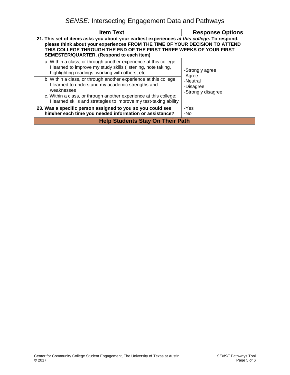| <b>Item Text</b>                                                                                                                                                                                                                                                                                      | <b>Response Options</b>                     |  |
|-------------------------------------------------------------------------------------------------------------------------------------------------------------------------------------------------------------------------------------------------------------------------------------------------------|---------------------------------------------|--|
| 21. This set of items asks you about your earliest experiences at this college. To respond,<br>please think about your experiences FROM THE TIME OF YOUR DECISION TO ATTEND<br>THIS COLLEGE THROUGH THE END OF THE FIRST THREE WEEKS OF YOUR FIRST<br><b>SEMESTER/QUARTER. (Respond to each item)</b> |                                             |  |
| a. Within a class, or through another experience at this college:<br>I learned to improve my study skills (listening, note taking,<br>highlighting readings, working with others, etc.                                                                                                                | -Strongly agree<br>-Agree                   |  |
| b. Within a class, or through another experience at this college:<br>I learned to understand my academic strengths and<br>weaknesses                                                                                                                                                                  | -Neutral<br>-Disagree<br>-Strongly disagree |  |
| c. Within a class, or through another experience at this college:<br>I learned skills and strategies to improve my test-taking ability                                                                                                                                                                |                                             |  |
| 23. Was a specific person assigned to you so you could see<br>him/her each time you needed information or assistance?                                                                                                                                                                                 | -Yes<br>-No                                 |  |
| <b>Help Students Stay On Their Path</b>                                                                                                                                                                                                                                                               |                                             |  |